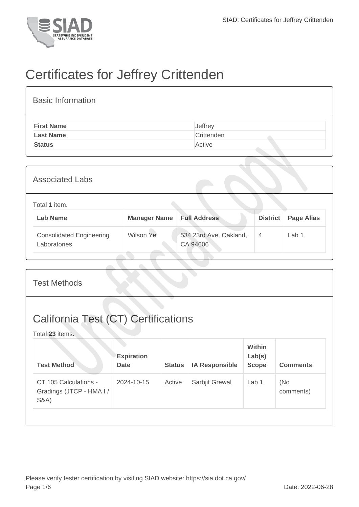

## Certificates for Jeffrey Crittenden

| <b>Basic Information</b> |            |
|--------------------------|------------|
| <b>First Name</b>        | Jeffrey    |
| <b>Last Name</b>         | Crittenden |
| <b>Status</b>            | Active     |

| <b>Associated Labs</b>                          |                     |                                    |                 |                   |
|-------------------------------------------------|---------------------|------------------------------------|-----------------|-------------------|
| Total 1 item.<br><b>Lab Name</b>                | <b>Manager Name</b> | <b>Full Address</b>                | <b>District</b> | <b>Page Alias</b> |
| <b>Consolidated Engineering</b><br>Laboratories | Wilson Ye           | 534 23rd Ave, Oakland,<br>CA 94606 | 4               | Lab <sub>1</sub>  |

| <b>Test Methods</b>                                                  |                           |               |                       |                                         |                  |
|----------------------------------------------------------------------|---------------------------|---------------|-----------------------|-----------------------------------------|------------------|
| <b>California Test (CT) Certifications</b><br>Total 23 items.        |                           |               |                       |                                         |                  |
| <b>Test Method</b>                                                   | <b>Expiration</b><br>Date | <b>Status</b> | <b>IA Responsible</b> | <b>Within</b><br>Lab(s)<br><b>Scope</b> | <b>Comments</b>  |
| CT 105 Calculations -<br>Gradings (JTCP - HMA I /<br><b>S&amp;A)</b> | 2024-10-15                | Active        | Sarbjit Grewal        | Lab <sub>1</sub>                        | (No<br>comments) |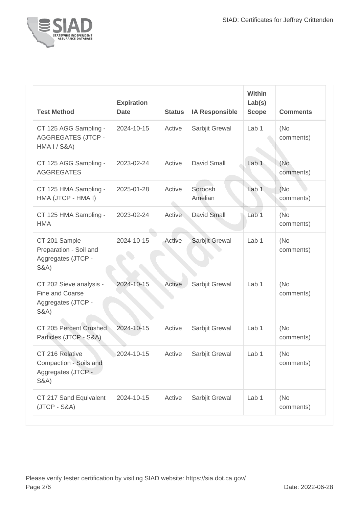

| <b>Test Method</b>                                                                  | <b>Expiration</b><br><b>Date</b> | <b>Status</b> | <b>IA Responsible</b> | Within<br>Lab(s)<br><b>Scope</b> | <b>Comments</b>   |
|-------------------------------------------------------------------------------------|----------------------------------|---------------|-----------------------|----------------------------------|-------------------|
| CT 125 AGG Sampling -<br><b>AGGREGATES (JTCP -</b><br><b>HMA I / S&amp;A)</b>       | 2024-10-15                       | Active        | Sarbjit Grewal        | Lab 1                            | (No<br>comments)  |
| CT 125 AGG Sampling -<br><b>AGGREGATES</b>                                          | 2023-02-24                       | Active        | David Small           | Lab 1                            | (No<br>comments)  |
| CT 125 HMA Sampling -<br>HMA (JTCP - HMA I)                                         | 2025-01-28                       | Active        | Soroosh<br>Amelian    | Lab 1                            | (No)<br>comments) |
| CT 125 HMA Sampling -<br><b>HMA</b>                                                 | 2023-02-24                       | Active        | David Small           | Lab <sub>1</sub>                 | (No<br>comments)  |
| CT 201 Sample<br>Preparation - Soil and<br>Aggregates (JTCP -<br><b>S&amp;A)</b>    | 2024-10-15                       | Active        | Sarbjit Grewal        | Lab <sub>1</sub>                 | (No<br>comments)  |
| CT 202 Sieve analysis -<br>Fine and Coarse<br>Aggregates (JTCP -<br><b>S&amp;A)</b> | 2024-10-15                       | Active        | Sarbjit Grewal        | Lab 1                            | (No<br>comments)  |
| CT 205 Percent Crushed<br>Particles (JTCP - S&A)                                    | 2024-10-15                       | Active        | Sarbjit Grewal        | Lab 1                            | (No<br>comments)  |
| CT 216 Relative<br>Compaction - Soils and<br>Aggregates (JTCP -<br><b>S&amp;A)</b>  | 2024-10-15                       | Active        | Sarbjit Grewal        | Lab 1                            | (No<br>comments)  |
| CT 217 Sand Equivalent<br>$(JTCP - S&A)$                                            | 2024-10-15                       | Active        | Sarbjit Grewal        | Lab 1                            | (No<br>comments)  |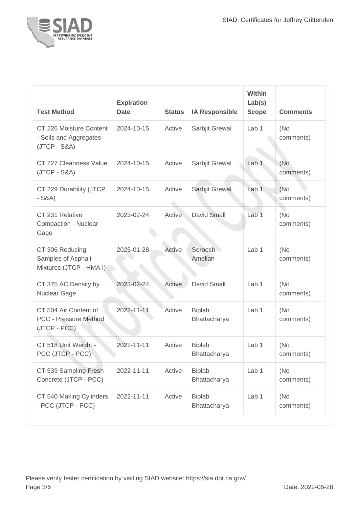

| <b>Test Method</b>                                                  | <b>Expiration</b><br><b>Date</b> | <b>Status</b> | <b>IA Responsible</b>         | Within<br>Lab(s)<br><b>Scope</b> | <b>Comments</b>   |
|---------------------------------------------------------------------|----------------------------------|---------------|-------------------------------|----------------------------------|-------------------|
| CT 226 Moisture Content<br>- Soils and Aggregates<br>$(JTCP - S&A)$ | 2024-10-15                       | Active        | Sarbjit Grewal                | Lab 1                            | (No<br>comments)  |
| CT 227 Cleanness Value<br>$(JTCP - S&A)$                            | 2024-10-15                       | Active        | Sarbjit Grewal                | Lab <sub>1</sub>                 | (No<br>comments)  |
| CT 229 Durability (JTCP<br>$-S&A)$                                  | 2024-10-15                       | Active        | Sarbjit Grewal                | Lab <sub>1</sub>                 | (No)<br>comments) |
| CT 231 Relative<br>Compaction - Nuclear<br>Gage                     | 2023-02-24                       | Active        | David Small                   | Lab <sub>1</sub>                 | (No<br>comments)  |
| CT 306 Reducing<br>Samples of Asphalt<br>Mixtures (JTCP - HMA I)    | 2025-01-28                       | Active        | Soroosh<br>Amelian            | Lab 1                            | (No)<br>comments) |
| CT 375 AC Density by<br>Nuclear Gage                                | 2023-02-24                       | Active        | <b>David Small</b>            | Lab 1                            | (No)<br>comments) |
| CT 504 Air Content of<br>PCC - Pressure Method<br>(JTCP - PCC)      | 2022-11-11                       | Active        | <b>Biplab</b><br>Bhattacharya | Lab 1                            | (No<br>comments)  |
| CT 518 Unit Weight -<br>PCC (JTCP - PCC)                            | 2022-11-11                       | Active        | <b>Biplab</b><br>Bhattacharya | Lab 1                            | (No<br>comments)  |
| CT 539 Sampling Fresh<br>Concrete (JTCP - PCC)                      | 2022-11-11                       | Active        | <b>Biplab</b><br>Bhattacharya | Lab 1                            | (No<br>comments)  |
| CT 540 Making Cylinders<br>- PCC (JTCP - PCC)                       | 2022-11-11                       | Active        | <b>Biplab</b><br>Bhattacharya | Lab 1                            | (No<br>comments)  |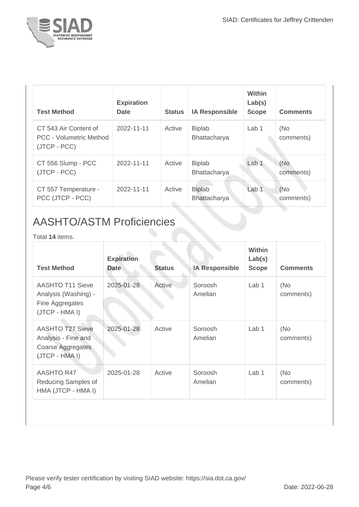

| <b>Test Method</b>                                               | <b>Expiration</b><br>Date | <b>Status</b> | <b>IA Responsible</b>         | <b>Within</b><br>Lab(s)<br><b>Scope</b> | <b>Comments</b>  |
|------------------------------------------------------------------|---------------------------|---------------|-------------------------------|-----------------------------------------|------------------|
| CT 543 Air Content of<br>PCC - Volumetric Method<br>(JTCP - PCC) | 2022-11-11                | Active        | <b>Biplab</b><br>Bhattacharya | Lab 1                                   | (No<br>comments) |
| CT 556 Slump - PCC<br>(JTCP - PCC)                               | 2022-11-11                | Active        | <b>Biplab</b><br>Bhattacharya | Lab $1$                                 | (No<br>comments) |
| CT 557 Temperature -<br>PCC (JTCP - PCC)                         | 2022-11-11                | Active        | <b>Biplab</b><br>Bhattacharya | Lab <sub>1</sub>                        | (No<br>comments) |

## AASHTO/ASTM Proficiencies

## Total **14** items.

| <b>Test Method</b>                                                                    | <b>Expiration</b><br><b>Date</b> | <b>Status</b> | <b>IA Responsible</b> | <b>Within</b><br>Lab(s)<br><b>Scope</b> | <b>Comments</b>  |
|---------------------------------------------------------------------------------------|----------------------------------|---------------|-----------------------|-----------------------------------------|------------------|
| AASHTO T11 Sieve<br>Analysis (Washing) -<br>Fine Aggregates<br>(JTCP - HMA I)         | 2025-01-28                       | Active        | Soroosh<br>Amelian    | Lab <sub>1</sub>                        | (No<br>comments) |
| <b>AASHTO T27 Sieve</b><br>Analysis - Fine and<br>Coarse Aggregates<br>(JTCP - HMA I) | 2025-01-28                       | Active        | Soroosh<br>Amelian    | Lab <sub>1</sub>                        | (No<br>comments) |
| <b>AASHTO R47</b><br>Reducing Samples of<br>HMA (JTCP - HMA I)                        | 2025-01-28                       | Active        | Soroosh<br>Amelian    | Lab 1                                   | (No<br>comments) |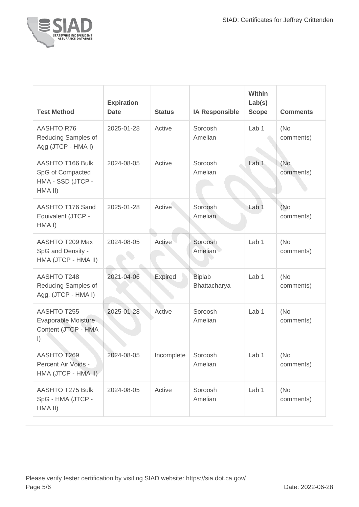

| <b>Test Method</b>                                                          | <b>Expiration</b><br><b>Date</b> | <b>Status</b> | <b>IA Responsible</b>         | <b>Within</b><br>Lab(s)<br><b>Scope</b> | <b>Comments</b>   |
|-----------------------------------------------------------------------------|----------------------------------|---------------|-------------------------------|-----------------------------------------|-------------------|
| <b>AASHTO R76</b><br>Reducing Samples of<br>Agg (JTCP - HMA I)              | 2025-01-28                       | Active        | Soroosh<br>Amelian            | Lab <sub>1</sub>                        | (No<br>comments)  |
| AASHTO T166 Bulk<br>SpG of Compacted<br>HMA - SSD (JTCP -<br>HMA II)        | 2024-08-05                       | Active        | Soroosh<br>Amelian            | Lab <sub>1</sub>                        | (No<br>comments)  |
| AASHTO T176 Sand<br>Equivalent (JTCP -<br>HMA <sub>I</sub> )                | 2025-01-28                       | Active        | Soroosh<br>Amelian            | Lab <sub>1</sub>                        | (No)<br>comments) |
| AASHTO T209 Max<br>SpG and Density -<br>HMA (JTCP - HMA II)                 | 2024-08-05                       | Active        | Soroosh<br>Amelian            | Lab 1                                   | (No)<br>comments) |
| <b>AASHTO T248</b><br>Reducing Samples of<br>Agg. (JTCP - HMA I)            | 2021-04-06                       | Expired       | <b>Biplab</b><br>Bhattacharya | Lab <sub>1</sub>                        | (No<br>comments)  |
| <b>AASHTO T255</b><br>Evaporable Moisture<br>Content (JTCP - HMA<br>$\vert$ | 2025-01-28                       | Active        | Soroosh<br>Amelian            | Lab <sub>1</sub>                        | (No<br>comments)  |
| <b>AASHTO T269</b><br>Percent Air Voids -<br>HMA (JTCP - HMA II)            | 2024-08-05                       | Incomplete    | Soroosh<br>Amelian            | Lab <sub>1</sub>                        | (No<br>comments)  |
| <b>AASHTO T275 Bulk</b><br>SpG - HMA (JTCP -<br>HMA II)                     | 2024-08-05                       | Active        | Soroosh<br>Amelian            | Lab 1                                   | (No)<br>comments) |